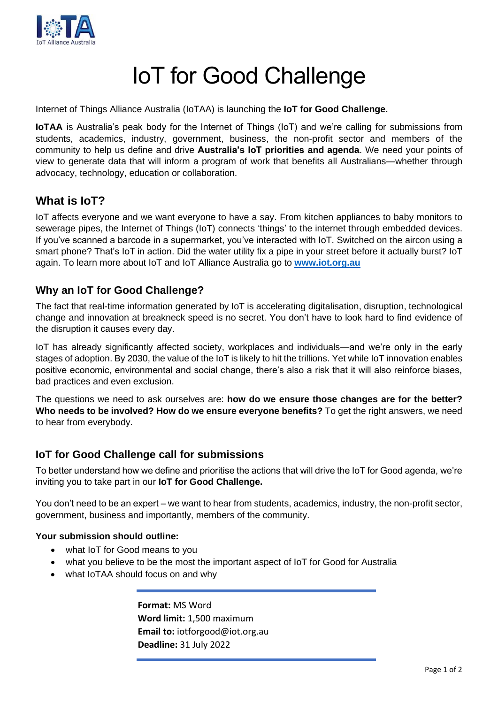

# IoT for Good Challenge

Internet of Things Alliance Australia (IoTAA) is launching the **IoT for Good Challenge.**

**IoTAA** is Australia's peak body for the Internet of Things (IoT) and we're calling for submissions from students, academics, industry, government, business, the non-profit sector and members of the community to help us define and drive **Australia's IoT priorities and agenda**. We need your points of view to generate data that will inform a program of work that benefits all Australians—whether through advocacy, technology, education or collaboration.

# **What is IoT?**

IoT affects everyone and we want everyone to have a say. From kitchen appliances to baby monitors to sewerage pipes, the Internet of Things (IoT) connects 'things' to the internet through embedded devices. If you've scanned a barcode in a supermarket, you've interacted with IoT. Switched on the aircon using a smart phone? That's IoT in action. Did the water utility fix a pipe in your street before it actually burst? IoT again. To learn more about IoT and IoT Alliance Australia go to **[www.iot.org.au](https://d.docs.live.net/ce433a879920b792/Documents/Work/IoTAA/Campaigns/IoT%20for%20Good/IoT%20for%20Good%20Campaign%20-%20May%202022/www.iot.org.au)**

# **Why an IoT for Good Challenge?**

The fact that real-time information generated by IoT is accelerating digitalisation, disruption, technological change and innovation at breakneck speed is no secret. You don't have to look hard to find evidence of the disruption it causes every day.

IoT has already significantly affected society, workplaces and individuals—and we're only in the early stages of adoption. By 2030, the value of the IoT is likely to hit the trillions. Yet while IoT innovation enables positive economic, environmental and social change, there's also a risk that it will also reinforce biases, bad practices and even exclusion.

The questions we need to ask ourselves are: **how do we ensure those changes are for the better? Who needs to be involved? How do we ensure everyone benefits?** To get the right answers, we need to hear from everybody.

# **IoT for Good Challenge call for submissions**

To better understand how we define and prioritise the actions that will drive the IoT for Good agenda, we're inviting you to take part in our **IoT for Good Challenge.**

You don't need to be an expert – we want to hear from students, academics, industry, the non-profit sector, government, business and importantly, members of the community.

## **Your submission should outline:**

- what IoT for Good means to you
- what you believe to be the most the important aspect of IoT for Good for Australia
- what IoTAA should focus on and why

**Format:** MS Word **Word limit:** 1,500 maximum **Email to:** iotforgood@iot.org.au **Deadline:** 31 July 2022